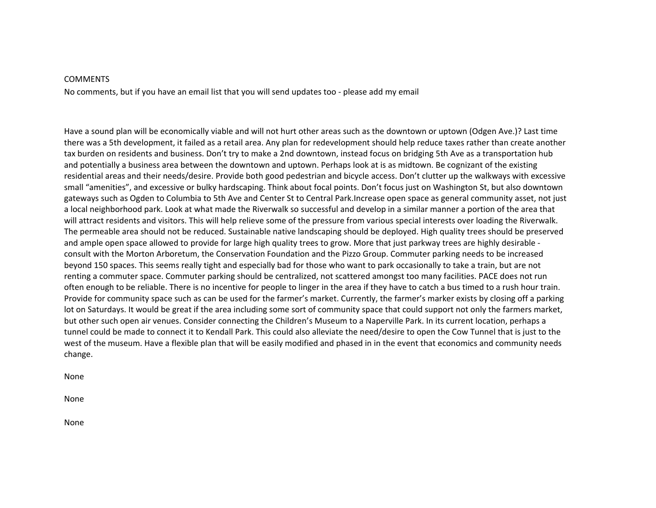#### **COMMENTS**

No comments, but if you have an email list that you will send updates too ‐ please add my email

Have a sound plan will be economically viable and will not hurt other areas such as the downtown or uptown (Odgen Ave.)? Last time there was a 5th development, it failed as a retail area. Any plan for redevelopment should help reduce taxes rather than create another tax burden on residents and business. Don't try to make a 2nd downtown, instead focus on bridging 5th Ave as a transportation hub and potentially a business area between the downtown and uptown. Perhaps look at is as midtown. Be cognizant of the existing residential areas and their needs/desire. Provide both good pedestrian and bicycle access. Don't clutter up the walkways with excessive small "amenities", and excessive or bulky hardscaping. Think about focal points. Don't focus just on Washington St, but also downtown gateways such as Ogden to Columbia to 5th Ave and Center St to Central Park.Increase open space as general community asset, not just a local neighborhood park. Look at what made the Riverwalk so successful and develop in a similar manner a portion of the area that will attract residents and visitors. This will help relieve some of the pressure from various special interests over loading the Riverwalk. The permeable area should not be reduced. Sustainable native landscaping should be deployed. High quality trees should be preserved and ample open space allowed to provide for large high quality trees to grow. More that just parkway trees are highly desirable consult with the Morton Arboretum, the Conservation Foundation and the Pizzo Group. Commuter parking needs to be increased beyond 150 spaces. This seems really tight and especially bad for those who want to park occasionally to take a train, but are not renting a commuter space. Commuter parking should be centralized, not scattered amongst too many facilities. PACE does not run often enough to be reliable. There is no incentive for people to linger in the area if they have to catch a bus timed to a rush hour train. Provide for community space such as can be used for the farmer's market. Currently, the farmer's marker exists by closing off a parking lot on Saturdays. It would be great if the area including some sort of community space that could support not only the farmers market, but other such open air venues. Consider connecting the Children's Museum to a Naperville Park. In its current location, perhaps a tunnel could be made to connect it to Kendall Park. This could also alleviate the need/desire to open the Cow Tunnel that is just to the west of the museum. Have a flexible plan that will be easily modified and phased in in the event that economics and community needs change.

None

None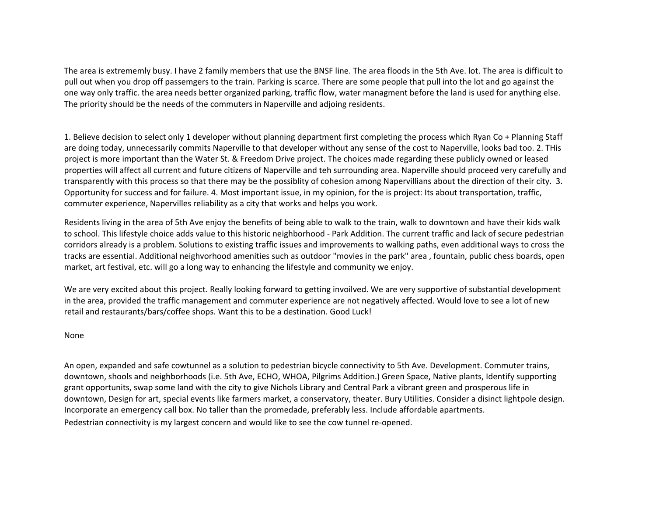The area is extrememly busy. I have 2 family members that use the BNSF line. The area floods in the 5th Ave. lot. The area is difficult to pull out when you drop off passemgers to the train. Parking is scarce. There are some people that pull into the lot and go against the one way only traffic. the area needs better organized parking, traffic flow, water managment before the land is used for anything else. The priority should be the needs of the commuters in Naperville and adjoing residents.

1. Believe decision to select only 1 developer without planning department first completing the process which Ryan Co + Planning Staff are doing today, unnecessarily commits Naperville to that developer without any sense of the cost to Naperville, looks bad too. 2. THis project is more important than the Water St. & Freedom Drive project. The choices made regarding these publicly owned or leased properties will affect all current and future citizens of Naperville and teh surrounding area. Naperville should proceed very carefully and transparently with this process so that there may be the possiblity of cohesion among Napervillians about the direction of their city. 3. Opportunity for success and for failure. 4. Most important issue, in my opinion, for the is project: Its about transportation, traffic, commuter experience, Napervilles reliability as a city that works and helps you work.

Residents living in the area of 5th Ave enjoy the benefits of being able to walk to the train, walk to downtown and have their kids walk to school. This lifestyle choice adds value to this historic neighborhood ‐ Park Addition. The current traffic and lack of secure pedestrian corridors already is a problem. Solutions to existing traffic issues and improvements to walking paths, even additional ways to cross the tracks are essential. Additional neighvorhood amenities such as outdoor "movies in the park" area , fountain, public chess boards, open market, art festival, etc. will go a long way to enhancing the lifestyle and community we enjoy.

We are very excited about this project. Really looking forward to getting invoilved. We are very supportive of substantial development in the area, provided the traffic management and commuter experience are not negatively affected. Would love to see a lot of new retail and restaurants/bars/coffee shops. Want this to be a destination. Good Luck!

None

An open, expanded and safe cowtunnel as a solution to pedestrian bicycle connectivity to 5th Ave. Development. Commuter trains, downtown, shools and neighborhoods (i.e. 5th Ave, ECHO, WHOA, Pilgrims Addition.) Green Space, Native plants, Identify supporting grant opportunits, swap some land with the city to give Nichols Library and Central Park a vibrant green and prosperous life in downtown, Design for art, special events like farmers market, a conservatory, theater. Bury Utilities. Consider a disinct lightpole design. Incorporate an emergency call box. No taller than the promedade, preferably less. Include affordable apartments. Pedestrian connectivity is my largest concern and would like to see the cow tunnel re‐opened.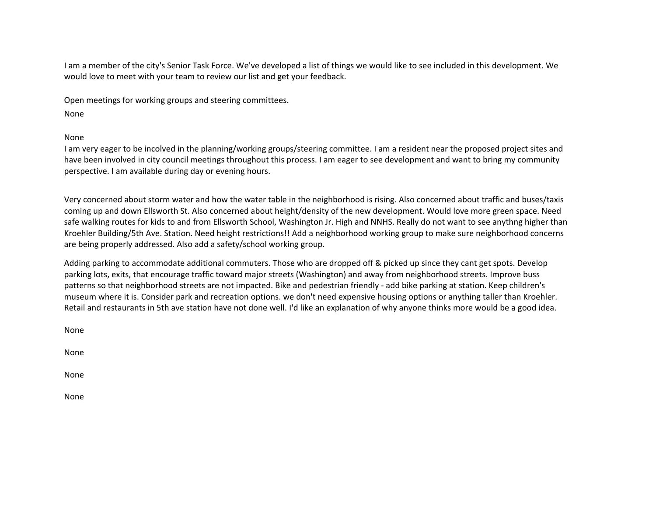I am a member of the city's Senior Task Force. We've developed a list of things we would like to see included in this development. We would love to meet with your team to review our list and get your feedback.

Open meetings for working groups and steering committees.

None

None

I am very eager to be incolved in the planning/working groups/steering committee. I am a resident near the proposed project sites and have been involved in city council meetings throughout this process. I am eager to see development and want to bring my community perspective. I am available during day or evening hours.

Very concerned about storm water and how the water table in the neighborhood is rising. Also concerned about traffic and buses/taxis coming up and down Ellsworth St. Also concerned about height/density of the new development. Would love more green space. Need safe walking routes for kids to and from Ellsworth School, Washington Jr. High and NNHS. Really do not want to see anythng higher than Kroehler Building/5th Ave. Station. Need height restrictions!! Add a neighborhood working group to make sure neighborhood concerns are being properly addressed. Also add a safety/school working group.

Adding parking to accommodate additional commuters. Those who are dropped off & picked up since they cant get spots. Develop parking lots, exits, that encourage traffic toward major streets (Washington) and away from neighborhood streets. Improve buss patterns so that neighborhood streets are not impacted. Bike and pedestrian friendly ‐ add bike parking at station. Keep children's museum where it is. Consider park and recreation options. we don't need expensive housing options or anything taller than Kroehler. Retail and restaurants in 5th ave station have not done well. I'd like an explanation of why anyone thinks more would be a good idea.

None

None

None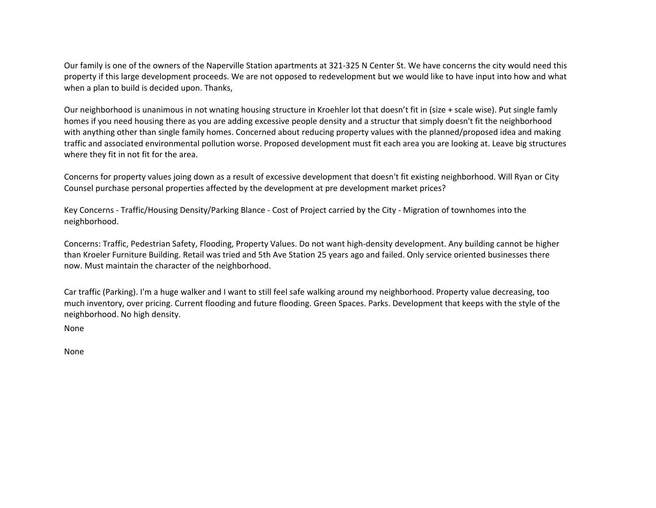Our family is one of the owners of the Naperville Station apartments at 321‐325 N Center St. We have concerns the city would need this property if this large development proceeds. We are not opposed to redevelopment but we would like to have input into how and what when a plan to build is decided upon. Thanks,

Our neighborhood is unanimous in not wnating housing structure in Kroehler lot that doesn't fit in (size + scale wise). Put single famly homes if you need housing there as you are adding excessive people density and a structur that simply doesn't fit the neighborhood with anything other than single family homes. Concerned about reducing property values with the planned/proposed idea and making traffic and associated environmental pollution worse. Proposed development must fit each area you are looking at. Leave big structures where they fit in not fit for the area.

Concerns for property values joing down as a result of excessive development that doesn't fit existing neighborhood. Will Ryan or City Counsel purchase personal properties affected by the development at pre development market prices?

Key Concerns ‐ Traffic/Housing Density/Parking Blance ‐ Cost of Project carried by the City ‐ Migration of townhomes into the neighborhood.

Concerns: Traffic, Pedestrian Safety, Flooding, Property Values. Do not want high‐density development. Any building cannot be higher than Kroeler Furniture Building. Retail was tried and 5th Ave Station 25 years ago and failed. Only service oriented businesses there now. Must maintain the character of the neighborhood.

Car traffic (Parking). I'm a huge walker and I want to still feel safe walking around my neighborhood. Property value decreasing, too much inventory, over pricing. Current flooding and future flooding. Green Spaces. Parks. Development that keeps with the style of the neighborhood. No high density.

None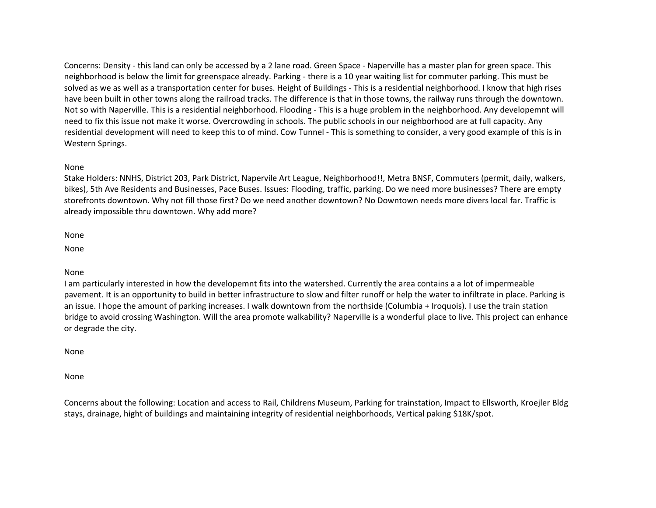Concerns: Density ‐ this land can only be accessed by a 2 lane road. Green Space ‐ Naperville has a master plan for green space. This neighborhood is below the limit for greenspace already. Parking ‐ there is a 10 year waiting list for commuter parking. This must be solved as we as well as a transportation center for buses. Height of Buildings ‐ This is a residential neighborhood. I know that high rises have been built in other towns along the railroad tracks. The difference is that in those towns, the railway runs through the downtown. Not so with Naperville. This is a residential neighborhood. Flooding ‐ This is a huge problem in the neighborhood. Any developemnt will need to fix this issue not make it worse. Overcrowding in schools. The public schools in our neighborhood are at full capacity. Any residential development will need to keep this to of mind. Cow Tunnel ‐ This is something to consider, a very good example of this is in Western Springs.

## None

Stake Holders: NNHS, District 203, Park District, Napervile Art League, Neighborhood!!, Metra BNSF, Commuters (permit, daily, walkers, bikes), 5th Ave Residents and Businesses, Pace Buses. Issues: Flooding, traffic, parking. Do we need more businesses? There are empty storefronts downtown. Why not fill those first? Do we need another downtown? No Downtown needs more divers local far. Traffic is already impossible thru downtown. Why add more?

None

None

### None

I am particularly interested in how the developemnt fits into the watershed. Currently the area contains a a lot of impermeable pavement. It is an opportunity to build in better infrastructure to slow and filter runoff or help the water to infiltrate in place. Parking is an issue. I hope the amount of parking increases. I walk downtown from the northside (Columbia + Iroquois). I use the train station bridge to avoid crossing Washington. Will the area promote walkability? Naperville is a wonderful place to live. This project can enhance or degrade the city.

None

None

Concerns about the following: Location and access to Rail, Childrens Museum, Parking for trainstation, Impact to Ellsworth, Kroejler Bldg stays, drainage, hight of buildings and maintaining integrity of residential neighborhoods, Vertical paking \$18K/spot.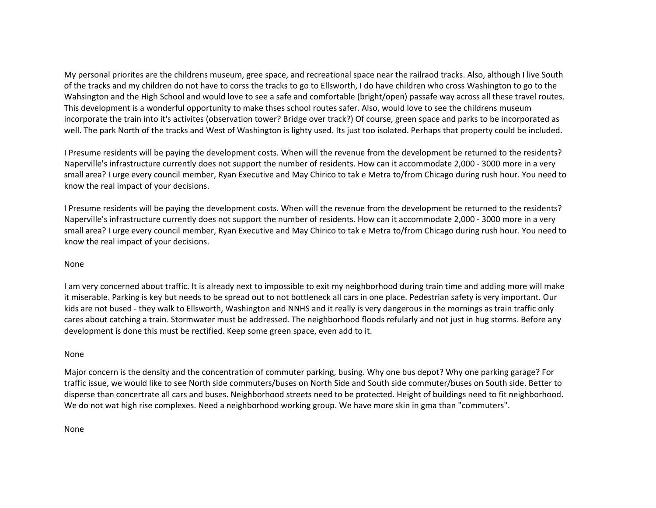My personal priorites are the childrens museum, gree space, and recreational space near the railraod tracks. Also, although I live South of the tracks and my children do not have to corss the tracks to go to Ellsworth, I do have children who cross Washington to go to the Wahsington and the High School and would love to see a safe and comfortable (bright/open) passafe way across all these travel routes. This development is a wonderful opportunity to make thses school routes safer. Also, would love to see the childrens museum incorporate the train into it's activites (observation tower? Bridge over track?) Of course, green space and parks to be incorporated as well. The park North of the tracks and West of Washington is lighty used. Its just too isolated. Perhaps that property could be included.

I Presume residents will be paying the development costs. When will the revenue from the development be returned to the residents? Naperville's infrastructure currently does not support the number of residents. How can it accommodate 2,000 ‐ 3000 more in a very small area? I urge every council member, Ryan Executive and May Chirico to tak e Metra to/from Chicago during rush hour. You need to know the real impact of your decisions.

I Presume residents will be paying the development costs. When will the revenue from the development be returned to the residents? Naperville's infrastructure currently does not support the number of residents. How can it accommodate 2,000 ‐ 3000 more in a very small area? I urge every council member, Ryan Executive and May Chirico to tak e Metra to/from Chicago during rush hour. You need to know the real impact of your decisions.

# None

I am very concerned about traffic. It is already next to impossible to exit my neighborhood during train time and adding more will make it miserable. Parking is key but needs to be spread out to not bottleneck all cars in one place. Pedestrian safety is very important. Our kids are not bused - they walk to Ellsworth, Washington and NNHS and it really is very dangerous in the mornings as train traffic only cares about catching a train. Stormwater must be addressed. The neighborhood floods refularly and not just in hug storms. Before any development is done this must be rectified. Keep some green space, even add to it.

### None

Major concern is the density and the concentration of commuter parking, busing. Why one bus depot? Why one parking garage? For traffic issue, we would like to see North side commuters/buses on North Side and South side commuter/buses on South side. Better to disperse than concertrate all cars and buses. Neighborhood streets need to be protected. Height of buildings need to fit neighborhood. We do not wat high rise complexes. Need a neighborhood working group. We have more skin in gma than "commuters".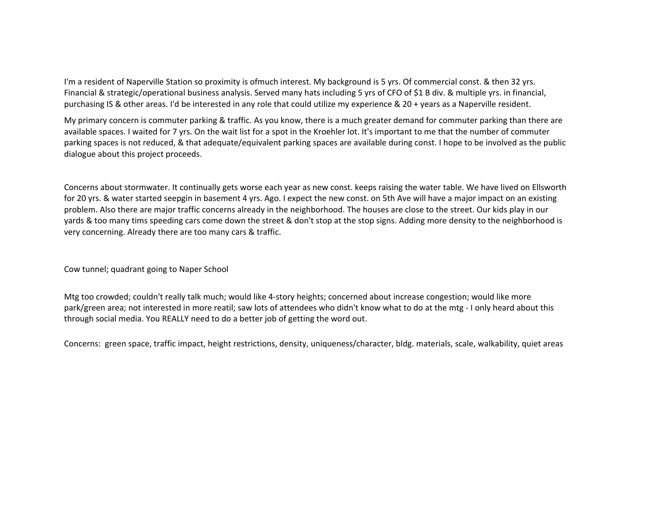I'm a resident of Naperville Station so proximity is ofmuch interest. My background is 5 yrs. Of commercial const. & then 32 yrs. Financial & strategic/operational business analysis. Served many hats including 5 yrs of CFO of \$1 B div. & multiple yrs. in financial, purchasing IS & other areas. I'd be interested in any role that could utilize my experience & 20 + years as a Naperville resident.

My primary concern is commuter parking & traffic. As you know, there is a much greater demand for commuter parking than there are available spaces. I waited for 7 yrs. On the wait list for a spot in the Kroehler lot. It's important to me that the number of commuter parking spaces is not reduced, & that adequate/equivalent parking spaces are available during const. I hope to be involved as the public dialogue about this project proceeds.

Concerns about stormwater. It continually gets worse each year as new const. keeps raising the water table. We have lived on Ellsworth for 20 yrs. & water started seepgin in basement 4 yrs. Ago. I expect the new const. on 5th Ave will have a major impact on an existing problem. Also there are major traffic concerns already in the neighborhood. The houses are close to the street. Our kids play in our yards & too many tims speeding cars come down the street & don't stop at the stop signs. Adding more density to the neighborhood is very concerning. Already there are too many cars & traffic.

Cow tunnel; quadrant going to Naper School

Mtg too crowded; couldn't really talk much; would like 4‐story heights; concerned about increase congestion; would like more park/green area; not interested in more reatil; saw lots of attendees who didn't know what to do at the mtg ‐ I only heard about this through social media. You REALLY need to do a better job of getting the word out.

Concerns: green space, traffic impact, height restrictions, density, uniqueness/character, bldg. materials, scale, walkability, quiet areas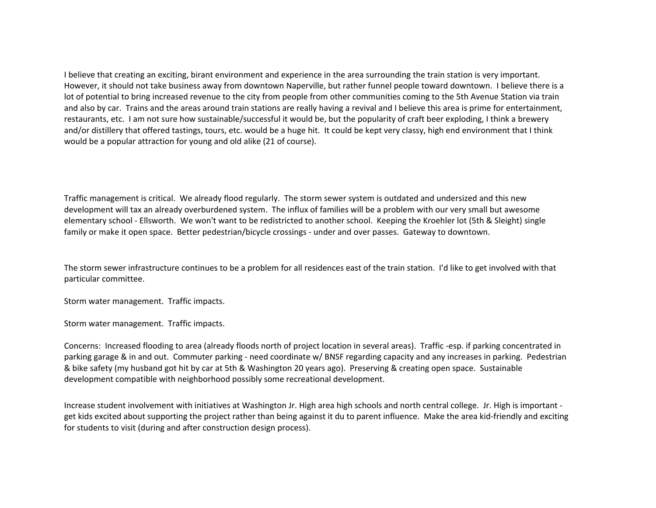I believe that creating an exciting, birant environment and experience in the area surrounding the train station is very important. However, it should not take business away from downtown Naperville, but rather funnel people toward downtown. I believe there is a lot of potential to bring increased revenue to the city from people from other communities coming to the 5th Avenue Station via train and also by car. Trains and the areas around train stations are really having a revival and I believe this area is prime for entertainment, restaurants, etc. I am not sure how sustainable/successful it would be, but the popularity of craft beer exploding, I think a brewery and/or distillery that offered tastings, tours, etc. would be a huge hit. It could be kept very classy, high end environment that I think would be a popular attraction for young and old alike (21 of course).

Traffic management is critical. We already flood regularly. The storm sewer system is outdated and undersized and this new development will tax an already overburdened system. The influx of families will be a problem with our very small but awesome elementary school ‐ Ellsworth. We won't want to be redistricted to another school. Keeping the Kroehler lot (5th & Sleight) single family or make it open space. Better pedestrian/bicycle crossings ‐ under and over passes. Gateway to downtown.

The storm sewer infrastructure continues to be a problem for all residences east of the train station. I'd like to get involved with that particular committee.

Storm water management. Traffic impacts.

Storm water management. Traffic impacts.

Concerns: Increased flooding to area (already floods north of project location in several areas). Traffic ‐esp. if parking concentrated in parking garage & in and out. Commuter parking ‐ need coordinate w/ BNSF regarding capacity and any increases in parking. Pedestrian & bike safety (my husband got hit by car at 5th & Washington 20 years ago). Preserving & creating open space. Sustainable development compatible with neighborhood possibly some recreational development.

Increase student involvement with initiatives at Washington Jr. High area high schools and north central college. Jr. High is important ‐ get kids excited about supporting the project rather than being against it du to parent influence. Make the area kid‐friendly and exciting for students to visit (during and after construction design process).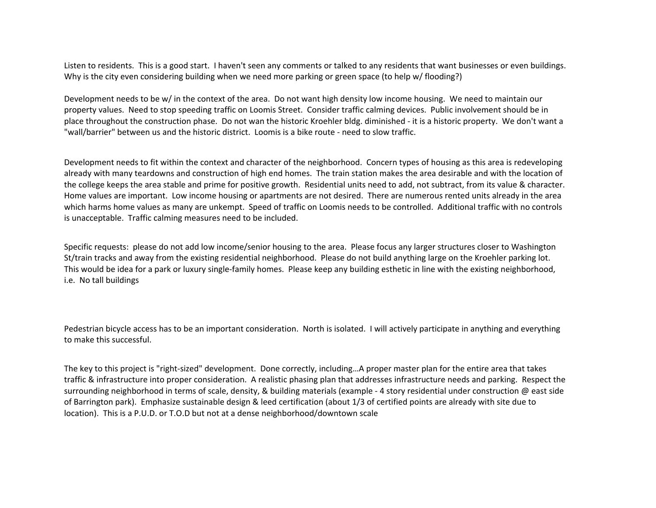Listen to residents. This is a good start. I haven't seen any comments or talked to any residents that want businesses or even buildings. Why is the city even considering building when we need more parking or green space (to help w/ flooding?)

Development needs to be w/ in the context of the area. Do not want high density low income housing. We need to maintain our property values. Need to stop speeding traffic on Loomis Street. Consider traffic calming devices. Public involvement should be in place throughout the construction phase. Do not wan the historic Kroehler bldg. diminished ‐ it is a historic property. We don't want a "wall/barrier" between us and the historic district. Loomis is a bike route ‐ need to slow traffic.

Development needs to fit within the context and character of the neighborhood. Concern types of housing as this area is redeveloping already with many teardowns and construction of high end homes. The train station makes the area desirable and with the location of the college keeps the area stable and prime for positive growth. Residential units need to add, not subtract, from its value & character. Home values are important. Low income housing or apartments are not desired. There are numerous rented units already in the area which harms home values as many are unkempt. Speed of traffic on Loomis needs to be controlled. Additional traffic with no controls is unacceptable. Traffic calming measures need to be included.

Specific requests: please do not add low income/senior housing to the area. Please focus any larger structures closer to Washington St/train tracks and away from the existing residential neighborhood. Please do not build anything large on the Kroehler parking lot. This would be idea for a park or luxury single‐family homes. Please keep any building esthetic in line with the existing neighborhood, i.e. No tall buildings

Pedestrian bicycle access has to be an important consideration. North is isolated. I will actively participate in anything and everything to make this successful.

The key to this project is "right‐sized" development. Done correctly, including…A proper master plan for the entire area that takes traffic & infrastructure into proper consideration. A realistic phasing plan that addresses infrastructure needs and parking. Respect the surrounding neighborhood in terms of scale, density, & building materials (example - 4 story residential under construction @ east side of Barrington park). Emphasize sustainable design & leed certification (about 1/3 of certified points are already with site due to location). This is a P.U.D. or T.O.D but not at a dense neighborhood/downtown scale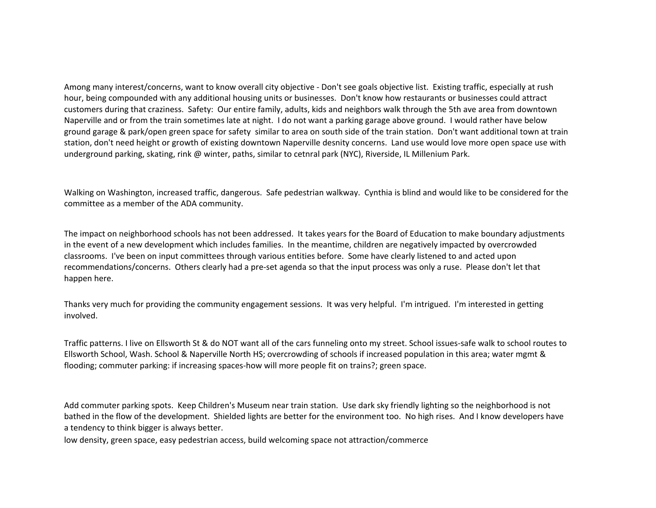Among many interest/concerns, want to know overall city objective ‐ Don't see goals objective list. Existing traffic, especially at rush hour, being compounded with any additional housing units or businesses. Don't know how restaurants or businesses could attract customers during that craziness. Safety: Our entire family, adults, kids and neighbors walk through the 5th ave area from downtown Naperville and or from the train sometimes late at night. I do not want a parking garage above ground. I would rather have below ground garage & park/open green space for safety similar to area on south side of the train station. Don't want additional town at train station, don't need height or growth of existing downtown Naperville desnity concerns. Land use would love more open space use with underground parking, skating, rink @ winter, paths, similar to cetnral park (NYC), Riverside, IL Millenium Park.

Walking on Washington, increased traffic, dangerous. Safe pedestrian walkway. Cynthia is blind and would like to be considered for the committee as a member of the ADA community.

The impact on neighborhood schools has not been addressed. It takes years for the Board of Education to make boundary adjustments in the event of a new development which includes families. In the meantime, children are negatively impacted by overcrowded classrooms. I've been on input committees through various entities before. Some have clearly listened to and acted upon recommendations/concerns. Others clearly had a pre‐set agenda so that the input process was only a ruse. Please don't let that happen here.

Thanks very much for providing the community engagement sessions. It was very helpful. I'm intrigued. I'm interested in getting involved.

Traffic patterns. I live on Ellsworth St & do NOT want all of the cars funneling onto my street. School issues‐safe walk to school routes to Ellsworth School, Wash. School & Naperville North HS; overcrowding of schools if increased population in this area; water mgmt & flooding; commuter parking: if increasing spaces-how will more people fit on trains?; green space.

Add commuter parking spots. Keep Children's Museum near train station. Use dark sky friendly lighting so the neighborhood is not bathed in the flow of the development. Shielded lights are better for the environment too. No high rises. And I know developers have a tendency to think bigger is always better.

low density, green space, easy pedestrian access, build welcoming space not attraction/commerce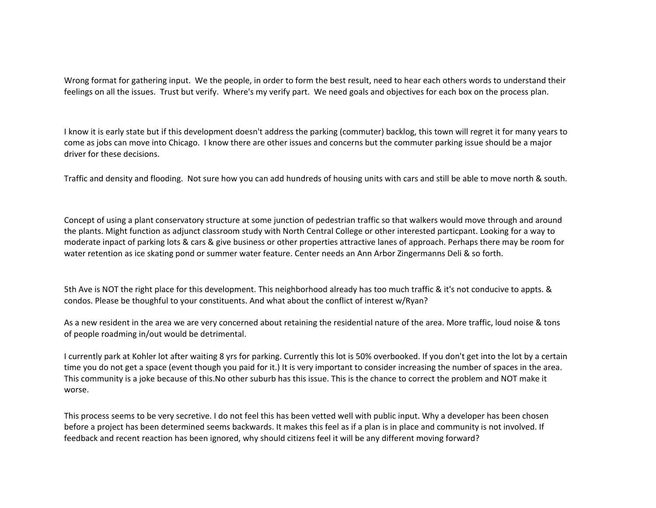Wrong format for gathering input. We the people, in order to form the best result, need to hear each others words to understand their feelings on all the issues. Trust but verify. Where's my verify part. We need goals and objectives for each box on the process plan.

I know it is early state but if this development doesn't address the parking (commuter) backlog, this town will regret it for many years to come as jobs can move into Chicago. I know there are other issues and concerns but the commuter parking issue should be a major driver for these decisions.

Traffic and density and flooding. Not sure how you can add hundreds of housing units with cars and still be able to move north & south.

Concept of using a plant conservatory structure at some junction of pedestrian traffic so that walkers would move through and around the plants. Might function as adjunct classroom study with North Central College or other interested particpant. Looking for a way to moderate inpact of parking lots & cars & give business or other properties attractive lanes of approach. Perhaps there may be room for water retention as ice skating pond or summer water feature. Center needs an Ann Arbor Zingermanns Deli & so forth.

5th Ave is NOT the right place for this development. This neighborhood already has too much traffic & it's not conducive to appts. & condos. Please be thoughful to your constituents. And what about the conflict of interest w/Ryan?

As a new resident in the area we are very concerned about retaining the residential nature of the area. More traffic, loud noise & tons of people roadming in/out would be detrimental.

I currently park at Kohler lot after waiting 8 yrs for parking. Currently this lot is 50% overbooked. If you don't get into the lot by a certain time you do not get a space (event though you paid for it.) It is very important to consider increasing the number of spaces in the area. This community is a joke because of this.No other suburb has this issue. This is the chance to correct the problem and NOT make it worse.

This process seems to be very secretive. I do not feel this has been vetted well with public input. Why a developer has been chosen before a project has been determined seems backwards. It makes this feel as if a plan is in place and community is not involved. If feedback and recent reaction has been ignored, why should citizens feel it will be any different moving forward?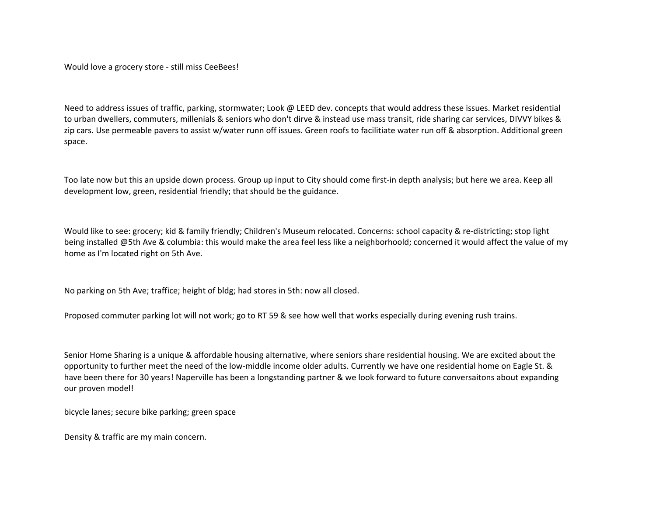Would love a grocery store ‐ still miss CeeBees!

Need to address issues of traffic, parking, stormwater; Look @ LEED dev. concepts that would address these issues. Market residential to urban dwellers, commuters, millenials & seniors who don't dirve & instead use mass transit, ride sharing car services, DIVVY bikes & zip cars. Use permeable pavers to assist w/water runn off issues. Green roofs to facilitiate water run off & absorption. Additional green space.

Too late now but this an upside down process. Group up input to City should come first-in depth analysis; but here we area. Keep all development low, green, residential friendly; that should be the guidance.

Would like to see: grocery; kid & family friendly; Children's Museum relocated. Concerns: school capacity & re-districting; stop light being installed @5th Ave & columbia: this would make the area feel less like a neighborhoold; concerned it would affect the value of my home as I'm located right on 5th Ave.

No parking on 5th Ave; traffice; height of bldg; had stores in 5th: now all closed.

Proposed commuter parking lot will not work; go to RT 59 & see how well that works especially during evening rush trains.

Senior Home Sharing is a unique & affordable housing alternative, where seniors share residential housing. We are excited about the opportunity to further meet the need of the low‐middle income older adults. Currently we have one residential home on Eagle St. & have been there for 30 years! Naperville has been a longstanding partner & we look forward to future conversaitons about expanding our proven model!

bicycle lanes; secure bike parking; green space

Density & traffic are my main concern.